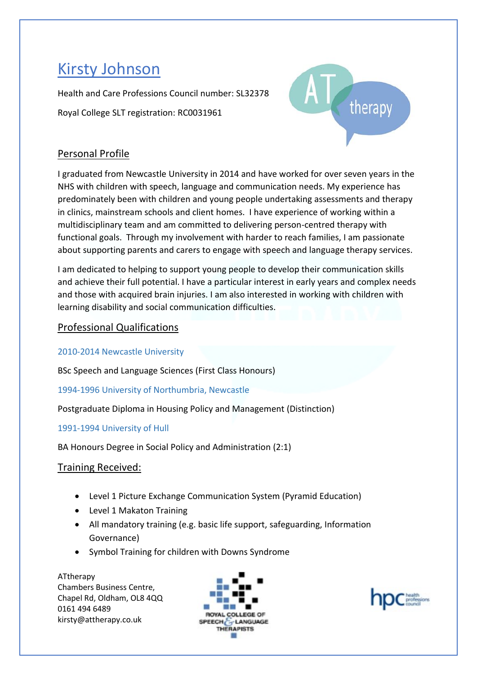# Kirsty Johnson

Health and Care Professions Council number: SL32378 Royal College SLT registration: RC0031961



# Personal Profile

I graduated from Newcastle University in 2014 and have worked for over seven years in the NHS with children with speech, language and communication needs. My experience has predominately been with children and young people undertaking assessments and therapy in clinics, mainstream schools and client homes. I have experience of working within a multidisciplinary team and am committed to delivering person-centred therapy with functional goals. Through my involvement with harder to reach families, I am passionate about supporting parents and carers to engage with speech and language therapy services.

I am dedicated to helping to support young people to develop their communication skills and achieve their full potential. I have a particular interest in early years and complex needs and those with acquired brain injuries. I am also interested in working with children with learning disability and social communication difficulties.

# Professional Qualifications

2010-2014 Newcastle University

BSc Speech and Language Sciences (First Class Honours)

1994-1996 University of Northumbria, Newcastle

Postgraduate Diploma in Housing Policy and Management (Distinction)

1991-1994 University of Hull

BA Honours Degree in Social Policy and Administration (2:1)

Training Received:

- Level 1 Picture Exchange Communication System (Pyramid Education)
- Level 1 Makaton Training
- All mandatory training (e.g. basic life support, safeguarding, Information Governance)
- Symbol Training for children with Downs Syndrome

ATtherapy Chambers Business Centre, Chapel Rd, Oldham, OL8 4QQ 0161 494 6489 kirsty@attherapy.co.uk



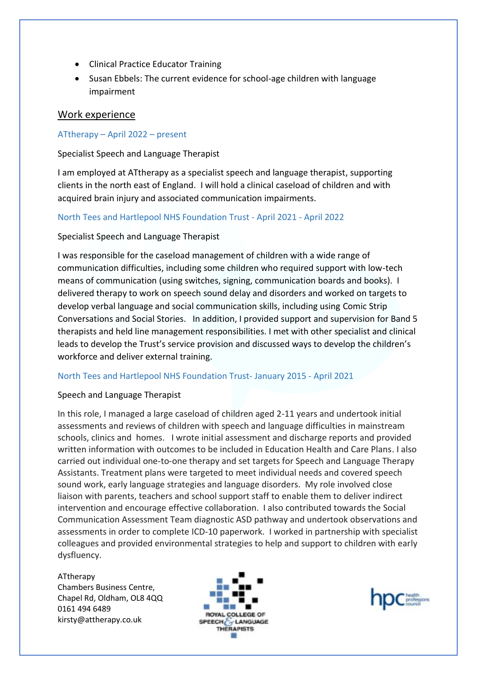- Clinical Practice Educator Training
- Susan Ebbels: The current evidence for school-age children with language impairment

# Work experience

# ATtherapy – April 2022 – present

# Specialist Speech and Language Therapist

I am employed at ATtherapy as a specialist speech and language therapist, supporting clients in the north east of England. I will hold a clinical caseload of children and with acquired brain injury and associated communication impairments.

# North Tees and Hartlepool NHS Foundation Trust - April 2021 - April 2022

Specialist Speech and Language Therapist

I was responsible for the caseload management of children with a wide range of communication difficulties, including some children who required support with low-tech means of communication (using switches, signing, communication boards and books). I delivered therapy to work on speech sound delay and disorders and worked on targets to develop verbal language and social communication skills, including using Comic Strip Conversations and Social Stories. In addition, I provided support and supervision for Band 5 therapists and held line management responsibilities. I met with other specialist and clinical leads to develop the Trust's service provision and discussed ways to develop the children's workforce and deliver external training.

#### North Tees and Hartlepool NHS Foundation Trust- January 2015 - April 2021

#### Speech and Language Therapist

In this role, I managed a large caseload of children aged 2-11 years and undertook initial assessments and reviews of children with speech and language difficulties in mainstream schools, clinics and homes. I wrote initial assessment and discharge reports and provided written information with outcomes to be included in Education Health and Care Plans. I also carried out individual one-to-one therapy and set targets for Speech and Language Therapy Assistants. Treatment plans were targeted to meet individual needs and covered speech sound work, early language strategies and language disorders. My role involved close liaison with parents, teachers and school support staff to enable them to deliver indirect intervention and encourage effective collaboration. I also contributed towards the Social Communication Assessment Team diagnostic ASD pathway and undertook observations and assessments in order to complete ICD-10 paperwork. I worked in partnership with specialist colleagues and provided environmental strategies to help and support to children with early dysfluency.

ATtherapy Chambers Business Centre, Chapel Rd, Oldham, OL8 4QQ 0161 494 6489 kirsty@attherapy.co.uk